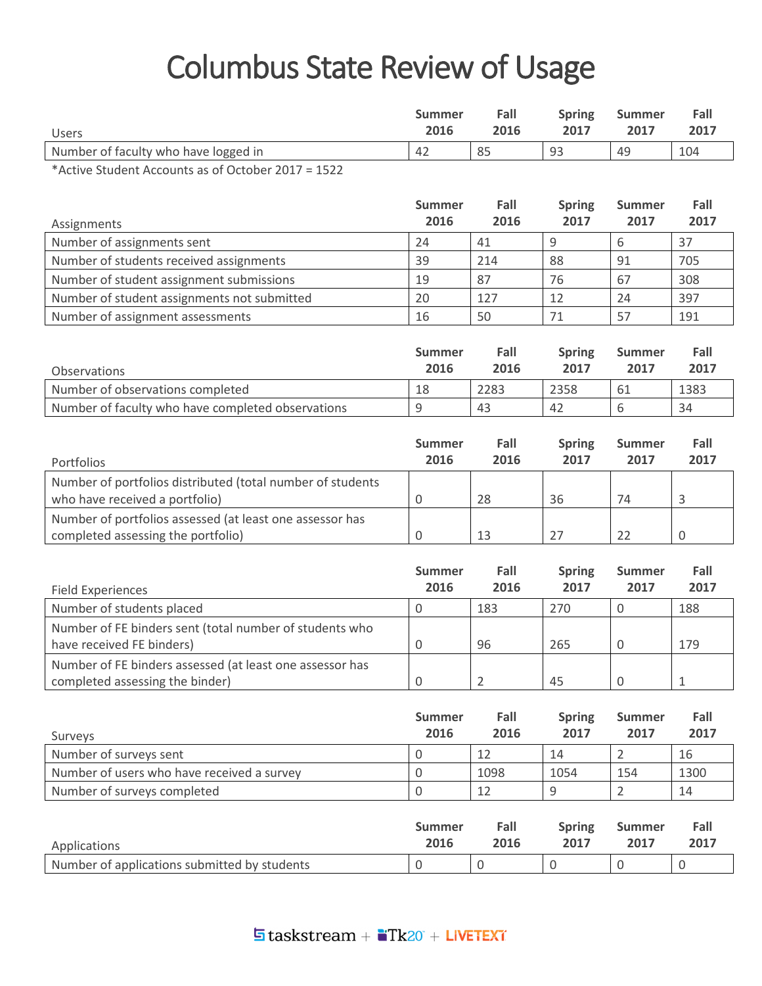## Columbus State Review of Usage

|                                         | Summer | Fall | <b>Spring</b> | <b>Summer</b> | Fall |
|-----------------------------------------|--------|------|---------------|---------------|------|
| <b>Users</b>                            | 2016   | 2016 | 2017          | 2017          | 2017 |
| Number of faculty who have logged in    | 42     | 85   | 93            | 49            | 104  |
| $\sim$ $\sim$ $\sim$ $\sim$<br>$\cdots$ |        |      |               |               |      |

\*Active Student Accounts as of October 2017 = 1522

| Assignments                                 | <b>Summer</b><br>2016 | Fall<br>2016 | <b>Spring</b><br>2017 | <b>Summer</b><br>2017 | Fall<br>2017 |
|---------------------------------------------|-----------------------|--------------|-----------------------|-----------------------|--------------|
|                                             |                       |              |                       |                       |              |
| Number of assignments sent                  | 24                    | 41           | Ω                     |                       | 37           |
| Number of students received assignments     | 39                    | 214          | 88                    | 91                    | 705          |
| Number of student assignment submissions    | 19                    | 87           | 76                    | 67                    | 308          |
| Number of student assignments not submitted | 20                    | 127          | 12                    | 24                    | 397          |
| Number of assignment assessments            | 16                    | 50           |                       | 57                    | 191          |

| Observations                                      | <b>Summer</b><br>2016 | Fall<br>2016 | <b>Spring</b><br>2017 | <b>Summer</b><br>2017 | Fall<br>2017 |
|---------------------------------------------------|-----------------------|--------------|-----------------------|-----------------------|--------------|
| Number of observations completed                  | 18                    | 2283         | 2358                  | -61                   | 1383         |
| Number of faculty who have completed observations |                       | 43           | 42                    |                       | 34           |

|                                                            | <b>Summer</b> | Fall | <b>Spring</b> | <b>Summer</b> | Fall |
|------------------------------------------------------------|---------------|------|---------------|---------------|------|
| Portfolios                                                 | 2016          | 2016 | 2017          | 2017          | 2017 |
| Number of portfolios distributed (total number of students |               |      |               |               |      |
| who have received a portfolio)                             |               | 28   | 36            | 74            |      |
| Number of portfolios assessed (at least one assessor has   |               |      |               |               |      |
| completed assessing the portfolio)                         |               | 13   |               |               |      |

| Field Experiences                                                                           | <b>Summer</b><br>2016 | Fall<br>2016 | <b>Spring</b><br>2017 | <b>Summer</b><br>2017 | Fall<br>2017 |
|---------------------------------------------------------------------------------------------|-----------------------|--------------|-----------------------|-----------------------|--------------|
| Number of students placed                                                                   |                       | 183          | 270                   | U                     | 188          |
| Number of FE binders sent (total number of students who<br>have received FE binders)        |                       | 96           | 265                   | 0                     | 179          |
| Number of FE binders assessed (at least one assessor has<br>completed assessing the binder) |                       |              | 45                    | 0                     |              |

| Surveys                                    | <b>Summer</b><br>2016 | Fall<br>2016 | <b>Spring</b><br>2017 | Summer<br>2017 | Fall<br>2017 |
|--------------------------------------------|-----------------------|--------------|-----------------------|----------------|--------------|
| Number of surveys sent                     |                       |              | 14                    |                | 16           |
| Number of users who have received a survey |                       | 1098         | 1054                  | 154            | 1300         |
| Number of surveys completed                |                       |              |                       |                | 14           |

| Applications                                 | Summer | Fall | <b>Spring</b> | <b>Summer</b> | Fall |
|----------------------------------------------|--------|------|---------------|---------------|------|
|                                              | 2016   | 2016 | 2017          | 2017          | 2017 |
| Number of applications submitted by students |        |      |               |               |      |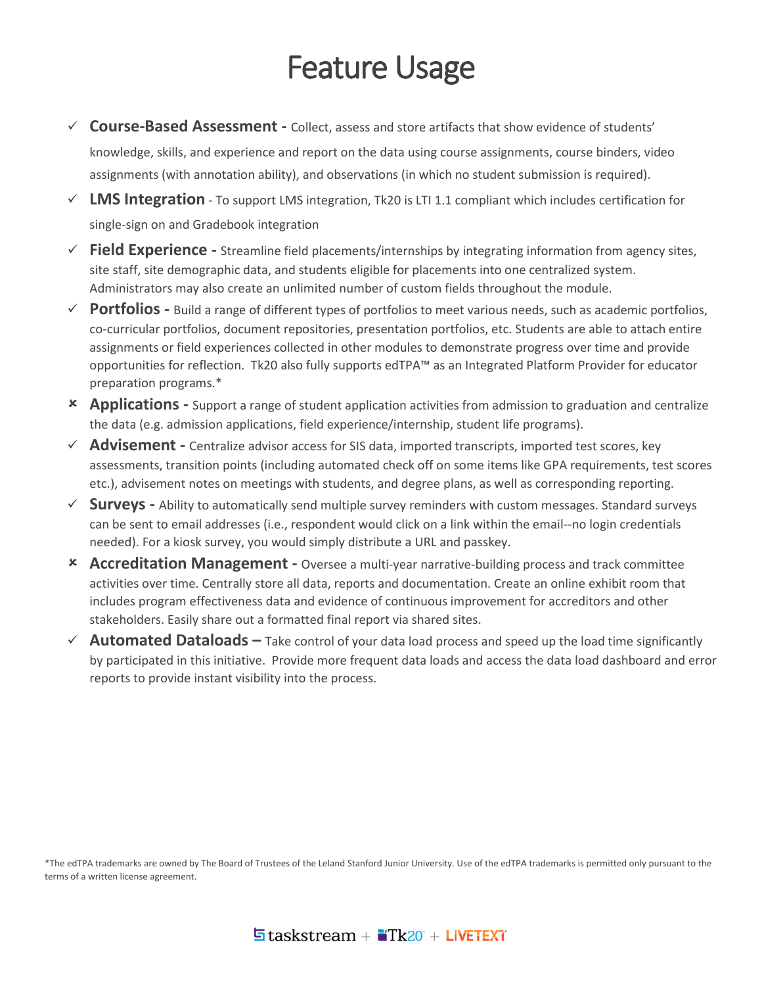## Feature Usage

- **Course-Based Assessment -** Collect, assess and store artifacts that show evidence of students' knowledge, skills, and experience and report on the data using course assignments, course binders, video assignments (with annotation ability), and observations (in which no student submission is required).
- **LMS Integration** To support LMS integration, Tk20 is LTI 1.1 compliant which includes certification for single-sign on and Gradebook integration
- **Field Experience -** Streamline field placements/internships by integrating information from agency sites, site staff, site demographic data, and students eligible for placements into one centralized system. Administrators may also create an unlimited number of custom fields throughout the module.
- **Portfolios -** Build a range of different types of portfolios to meet various needs, such as academic portfolios, co-curricular portfolios, document repositories, presentation portfolios, etc. Students are able to attach entire assignments or field experiences collected in other modules to demonstrate progress over time and provide opportunities for reflection. Tk20 also fully supports edTPA™ as an Integrated Platform Provider for educator preparation programs.\*
- **Applications -** Support a range of student application activities from admission to graduation and centralize the data (e.g. admission applications, field experience/internship, student life programs).
- **Advisement -** Centralize advisor access for SIS data, imported transcripts, imported test scores, key assessments, transition points (including automated check off on some items like GPA requirements, test scores etc.), advisement notes on meetings with students, and degree plans, as well as corresponding reporting.
- **Surveys -** Ability to automatically send multiple survey reminders with custom messages. Standard surveys can be sent to email addresses (i.e., respondent would click on a link within the email--no login credentials needed). For a kiosk survey, you would simply distribute a URL and passkey.
- **Accreditation Management -** Oversee a multi-year narrative-building process and track committee activities over time. Centrally store all data, reports and documentation. Create an online exhibit room that includes program effectiveness data and evidence of continuous improvement for accreditors and other stakeholders. Easily share out a formatted final report via shared sites.
- **Automated Dataloads –** Take control of your data load process and speed up the load time significantly by participated in this initiative. Provide more frequent data loads and access the data load dashboard and error reports to provide instant visibility into the process.

\*The edTPA trademarks are owned by The Board of Trustees of the Leland Stanford Junior University. Use of the edTPA trademarks is permitted only pursuant to the terms of a written license agreement.